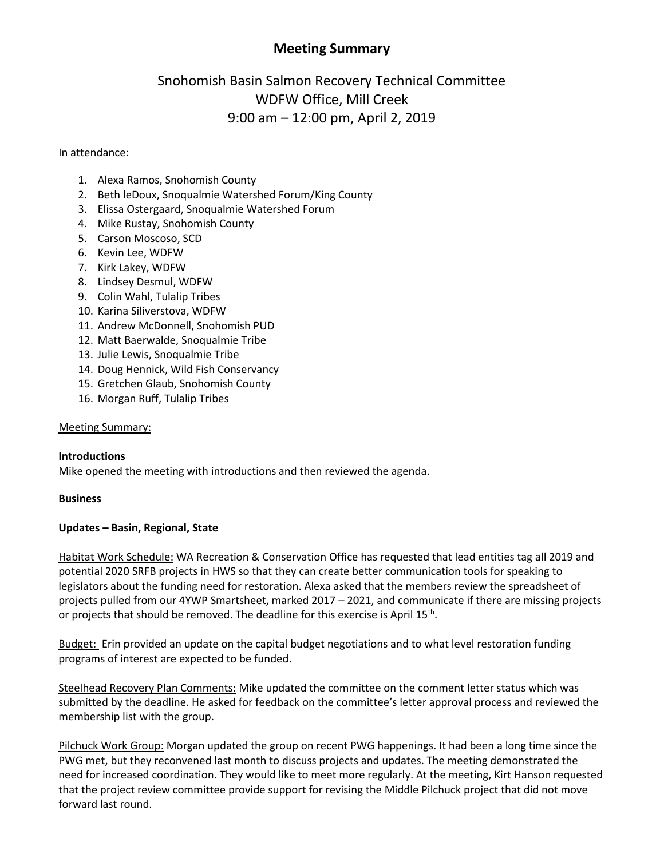# **Meeting Summary**

# Snohomish Basin Salmon Recovery Technical Committee WDFW Office, Mill Creek 9:00 am – 12:00 pm, April 2, 2019

#### In attendance:

- 1. Alexa Ramos, Snohomish County
- 2. Beth leDoux, Snoqualmie Watershed Forum/King County
- 3. Elissa Ostergaard, Snoqualmie Watershed Forum
- 4. Mike Rustay, Snohomish County
- 5. Carson Moscoso, SCD
- 6. Kevin Lee, WDFW
- 7. Kirk Lakey, WDFW
- 8. Lindsey Desmul, WDFW
- 9. Colin Wahl, Tulalip Tribes
- 10. Karina Siliverstova, WDFW
- 11. Andrew McDonnell, Snohomish PUD
- 12. Matt Baerwalde, Snoqualmie Tribe
- 13. Julie Lewis, Snoqualmie Tribe
- 14. Doug Hennick, Wild Fish Conservancy
- 15. Gretchen Glaub, Snohomish County
- 16. Morgan Ruff, Tulalip Tribes

#### Meeting Summary:

#### **Introductions**

Mike opened the meeting with introductions and then reviewed the agenda.

#### **Business**

#### **Updates – Basin, Regional, State**

Habitat Work Schedule: WA Recreation & Conservation Office has requested that lead entities tag all 2019 and potential 2020 SRFB projects in HWS so that they can create better communication tools for speaking to legislators about the funding need for restoration. Alexa asked that the members review the spreadsheet of projects pulled from our 4YWP Smartsheet, marked 2017 – 2021, and communicate if there are missing projects or projects that should be removed. The deadline for this exercise is April 15<sup>th</sup>.

Budget: Erin provided an update on the capital budget negotiations and to what level restoration funding programs of interest are expected to be funded.

Steelhead Recovery Plan Comments: Mike updated the committee on the comment letter status which was submitted by the deadline. He asked for feedback on the committee's letter approval process and reviewed the membership list with the group.

Pilchuck Work Group: Morgan updated the group on recent PWG happenings. It had been a long time since the PWG met, but they reconvened last month to discuss projects and updates. The meeting demonstrated the need for increased coordination. They would like to meet more regularly. At the meeting, Kirt Hanson requested that the project review committee provide support for revising the Middle Pilchuck project that did not move forward last round.